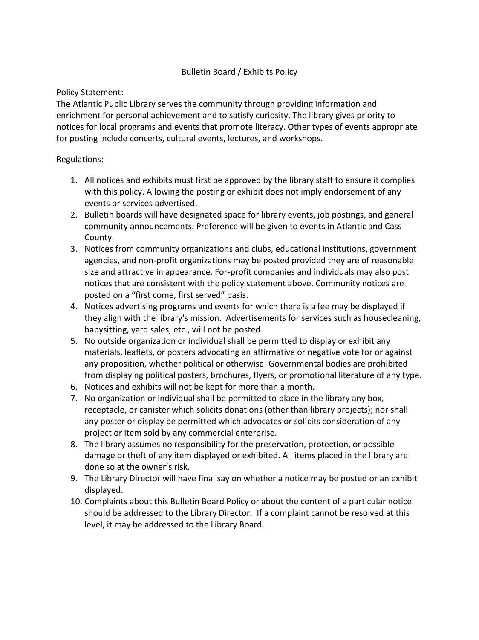# Bulletin Board / Exhibits Policy

## Policy Statement:

The Atlantic Public Library serves the community through providing information and enrichment for personal achievement and to satisfy curiosity. The library gives priority to notices for local programs and events that promote literacy. Other types of events appropriate for posting include concerts, cultural events, lectures, and workshops.

## Regulations:

- 1. All notices and exhibits must first be approved by the library staff to ensure it complies with this policy. Allowing the posting or exhibit does not imply endorsement of any events or services advertised.
- 2. Bulletin boards will have designated space for library events, job postings, and general community announcements. Preference will be given to events in Atlantic and Cass County.
- 3. Notices from community organizations and clubs, educational institutions, government agencies, and non-profit organizations may be posted provided they are of reasonable size and attractive in appearance. For-profit companies and individuals may also post notices that are consistent with the policy statement above. Community notices are posted on a "first come, first served" basis.
- 4. Notices advertising programs and events for which there is a fee may be displayed if they align with the library's mission. Advertisements for services such as housecleaning, babysitting, yard sales, etc., will not be posted.
- 5. No outside organization or individual shall be permitted to display or exhibit any materials, leaflets, or posters advocating an affirmative or negative vote for or against any proposition, whether political or otherwise. Governmental bodies are prohibited from displaying political posters, brochures, flyers, or promotional literature of any type.
- 6. Notices and exhibits will not be kept for more than a month.
- 7. No organization or individual shall be permitted to place in the library any box, receptacle, or canister which solicits donations (other than library projects); nor shall any poster or display be permitted which advocates or solicits consideration of any project or item sold by any commercial enterprise.
- 8. The library assumes no responsibility for the preservation, protection, or possible damage or theft of any item displayed or exhibited. All items placed in the library are done so at the owner's risk.
- 9. The Library Director will have final say on whether a notice may be posted or an exhibit displayed.
- 10. Complaints about this Bulletin Board Policy or about the content of a particular notice should be addressed to the Library Director. If a complaint cannot be resolved at this level, it may be addressed to the Library Board.